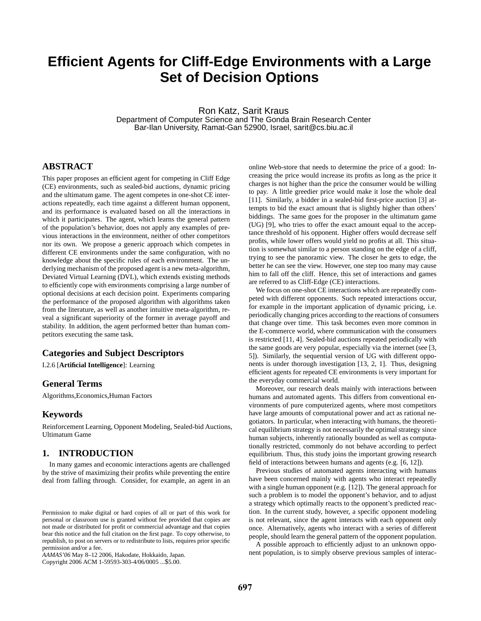# **Efficient Agents for Cliff-Edge Environments with a Large Set of Decision Options**

Ron Katz, Sarit Kraus

Department of Computer Science and The Gonda Brain Research Center Bar-Ilan University, Ramat-Gan 52900, Israel, sarit@cs.biu.ac.il

### **ABSTRACT**

This paper proposes an efficient agent for competing in Cliff Edge (CE) environments, such as sealed-bid auctions, dynamic pricing and the ultimatum game. The agent competes in one-shot CE interactions repeatedly, each time against a different human opponent, and its performance is evaluated based on all the interactions in which it participates. The agent, which learns the general pattern of the population's behavior, does not apply any examples of previous interactions in the environment, neither of other competitors nor its own. We propose a generic approach which competes in different CE environments under the same configuration, with no knowledge about the specific rules of each environment. The underlying mechanism of the proposed agent is a new meta-algorithm, Deviated Virtual Learning (DVL), which extends existing methods to efficiently cope with environments comprising a large number of optional decisions at each decision point. Experiments comparing the performance of the proposed algorithm with algorithms taken from the literature, as well as another intuitive meta-algorithm, reveal a significant superiority of the former in average payoff and stability. In addition, the agent performed better than human competitors executing the same task.

## **Categories and Subject Descriptors**

I.2.6 [**Artificial Intelligence**]: Learning

### **General Terms**

Algorithms,Economics,Human Factors

### **Keywords**

Reinforcement Learning, Opponent Modeling, Sealed-bid Auctions, Ultimatum Game

### **1. INTRODUCTION**

In many games and economic interactions agents are challenged by the strive of maximizing their profits while preventing the entire deal from falling through. Consider, for example, an agent in an

Copyright 2006 ACM 1-59593-303-4/06/0005 ...\$5.00.

online Web-store that needs to determine the price of a good: Increasing the price would increase its profits as long as the price it charges is not higher than the price the consumer would be willing to pay. A little greedier price would make it lose the whole deal [11]. Similarly, a bidder in a sealed-bid first-price auction [3] attempts to bid the exact amount that is slightly higher than others' biddings. The same goes for the proposer in the ultimatum game (UG) [9], who tries to offer the exact amount equal to the acceptance threshold of his opponent. Higher offers would decrease self profits, while lower offers would yield no profits at all. This situation is somewhat similar to a person standing on the edge of a cliff, trying to see the panoramic view. The closer he gets to edge, the better he can see the view. However, one step too many may cause him to fall off the cliff. Hence, this set of interactions and games are referred to as Cliff-Edge (CE) interactions.

We focus on one-shot CE interactions which are repeatedly competed with different opponents. Such repeated interactions occur, for example in the important application of dynamic pricing, i.e. periodically changing prices according to the reactions of consumers that change over time. This task becomes even more common in the E-commerce world, where communication with the consumers is restricted [11, 4]. Sealed-bid auctions repeated periodically with the same goods are very popular, especially via the internet (see [3, 5]). Similarly, the sequential version of UG with different opponents is under thorough investigation [13, 2, 1]. Thus, designing efficient agents for repeated CE environments is very important for the everyday commercial world.

Moreover, our research deals mainly with interactions between humans and automated agents. This differs from conventional environments of pure computerized agents, where most competitors have large amounts of computational power and act as rational negotiators. In particular, when interacting with humans, the theoretical equilibrium strategy is not necessarily the optimal strategy since human subjects, inherently rationally bounded as well as computationally restricted, commonly do not behave according to perfect equilibrium. Thus, this study joins the important growing research field of interactions between humans and agents (e.g. [6, 12]).

Previous studies of automated agents interacting with humans have been concerned mainly with agents who interact repeatedly with a single human opponent (e.g. [12]). The general approach for such a problem is to model the opponent's behavior, and to adjust a strategy which optimally reacts to the opponent's predicted reaction. In the current study, however, a specific opponent modeling is not relevant, since the agent interacts with each opponent only once. Alternatively, agents who interact with a series of different people, should learn the general pattern of the opponent population.

A possible approach to efficiently adjust to an unknown opponent population, is to simply observe previous samples of interac-

Permission to make digital or hard copies of all or part of this work for personal or classroom use is granted without fee provided that copies are not made or distributed for profit or commercial advantage and that copies bear this notice and the full citation on the first page. To copy otherwise, to republish, to post on servers or to redistribute to lists, requires prior specific permission and/or a fee.

*AAMAS'06* May 8–12 2006, Hakodate, Hokkaido, Japan.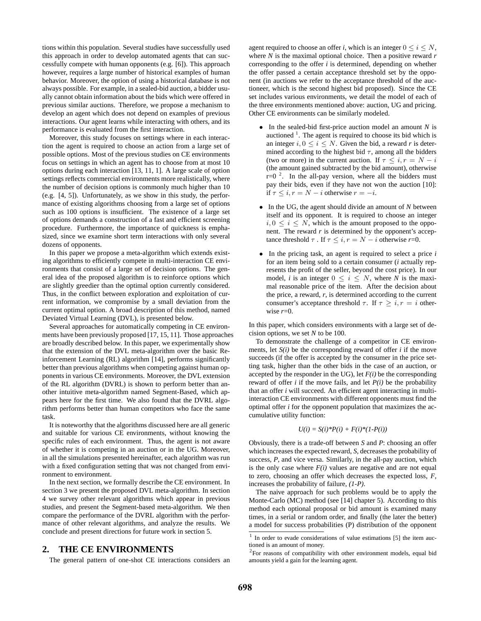tions within this population. Several studies have successfully used this approach in order to develop automated agents that can successfully compete with human opponents (e.g. [6]). This approach however, requires a large number of historical examples of human behavior. Moreover, the option of using a historical database is not always possible. For example, in a sealed-bid auction, a bidder usually cannot obtain information about the bids which were offered in previous similar auctions. Therefore, we propose a mechanism to develop an agent which does not depend on examples of previous interactions. Our agent learns while interacting with others, and its performance is evaluated from the first interaction.

Moreover, this study focuses on settings where in each interaction the agent is required to choose an action from a large set of possible options. Most of the previous studies on CE environments focus on settings in which an agent has to choose from at most 10 options during each interaction [13, 11, 1]. A large scale of option settings reflects commercial environments more realistically, where the number of decision options is commonly much higher than 10 (e.g. [4, 5]). Unfortunately, as we show in this study, the performance of existing algorithms choosing from a large set of options such as 100 options is insufficient. The existence of a large set of options demands a construction of a fast and efficient screening procedure. Furthermore, the importance of quickness is emphasized, since we examine short term interactions with only several dozens of opponents.

In this paper we propose a meta-algorithm which extends existing algorithms to efficiently compete in multi-interaction CE environments that consist of a large set of decision options. The general idea of the proposed algorithm is to reinforce options which are slightly greedier than the optimal option currently considered. Thus, in the conflict between exploration and exploitation of current information, we compromise by a small deviation from the current optimal option. A broad description of this method, named Deviated Virtual Learning (DVL), is presented below.

Several approaches for automatically competing in CE environments have been previously proposed [17, 15, 11]. Those approaches are broadly described below. In this paper, we experimentally show that the extension of the DVL meta-algorithm over the basic Reinforcement Learning (RL) algorithm [14], performs significantly better than previous algorithms when competing against human opponents in various CE environments. Moreover, the DVL extension of the RL algorithm (DVRL) is shown to perform better than another intuitive meta-algorithm named Segment-Based, which appears here for the first time. We also found that the DVRL algorithm performs better than human competitors who face the same task.

It is noteworthy that the algorithms discussed here are all generic and suitable for various CE environments, without knowing the specific rules of each environment. Thus, the agent is not aware of whether it is competing in an auction or in the UG. Moreover, in all the simulations presented hereinafter, each algorithm was run with a fixed configuration setting that was not changed from environment to environment.

In the next section, we formally describe the CE environment. In section 3 we present the proposed DVL meta-algorithm. In section 4 we survey other relevant algorithms which appear in previous studies, and present the Segment-based meta-algorithm. We then compare the performance of the DVRL algorithm with the performance of other relevant algorithms, and analyze the results. We conclude and present directions for future work in section 5.

### **2. THE CE ENVIRONMENTS**

The general pattern of one-shot CE interactions considers an

agent required to choose an offer *i*, which is an integer  $0 \le i \le N$ , where *N* is the maximal optional choice. Then a positive reward *r* corresponding to the offer *i* is determined, depending on whether the offer passed a certain acceptance threshold set by the opponent (in auctions we refer to the acceptance threshold of the auctioneer, which is the second highest bid proposed). Since the CE set includes various environments, we detail the model of each of the three environments mentioned above: auction, UG and pricing. Other CE environments can be similarly modeled.

- In the sealed-bid first-price auction model an amount *N* is auctioned  $<sup>1</sup>$ . The agent is required to choose its bid which is</sup> an integer  $i, 0 \le i \le N$ . Given the bid, a reward *r* is determined according to the highest bid  $\tau$ , among all the bidders (two or more) in the current auction. If  $\tau \leq i, r = N - i$ (the amount gained subtracted by the bid amount), otherwise  $r=0<sup>2</sup>$ . In the all-pay version, where all the bidders must pay their bids, even if they have not won the auction [10]: if  $\tau \leq i, r = N - i$  otherwise  $r = -i$ .
- In the UG, the agent should divide an amount of *N* between itself and its opponent. It is required to choose an integer  $i, 0 \leq i \leq N$ , which is the amount proposed to the opponent. The reward *r* is determined by the opponent's acceptance threshold  $\tau$ . If  $\tau \leq i, r = N - i$  otherwise  $r=0$ .
- In the pricing task, an agent is required to select a price *i* for an item being sold to a certain consumer (*i* actually represents the profit of the seller, beyond the cost price). In our model, *i* is an integer  $0 \le i \le N$ , where *N* is the maximal reasonable price of the item. After the decision about the price, a reward,  $r$ , is determined according to the current consumer's acceptance threshold  $\tau$ . If  $\tau > i$ ,  $r = i$  otherwise  $r=0$ .

In this paper, which considers environments with a large set of decision options, we set *N* to be 100.

To demonstrate the challenge of a competitor in CE environments, let  $S(i)$  be the corresponding reward of offer *i* if the move succeeds (if the offer is accepted by the consumer in the price setting task, higher than the other bids in the case of an auction, or accepted by the responder in the UG), let  $F(i)$  be the corresponding reward of offer  $i$  if the move fails, and let  $P(i)$  be the probability that an offer *i* will succeed. An efficient agent interacting in multiinteraction CE environments with different opponents must find the optimal offer *i* for the opponent population that maximizes the accumulative utility function:

$$
U(i) = S(i)*P(i) + F(i)*(1-P(i))
$$

Obviously, there is a trade-off between *S* and *P*: choosing an offer which increases the expected reward, *S*, decreases the probability of success, *P*, and vice versa. Similarly, in the all-pay auction, which is the only case where  $F(i)$  values are negative and are not equal to zero, choosing an offer which decreases the expected loss, *F*, increases the probability of failure, *(1-P)*.

The naive approach for such problems would be to apply the Monte-Carlo (MC) method (see [14] chapter 5). According to this method each optional proposal or bid amount is examined many times, in a serial or random order, and finally (the later the better) a model for success probabilities (P) distribution of the opponent

<sup>&</sup>lt;sup>1</sup> In order to evade considerations of value estimations [5] the item auctioned is an amount of money.

 $2$ For reasons of compatibility with other environment models, equal bid amounts yield a gain for the learning agent.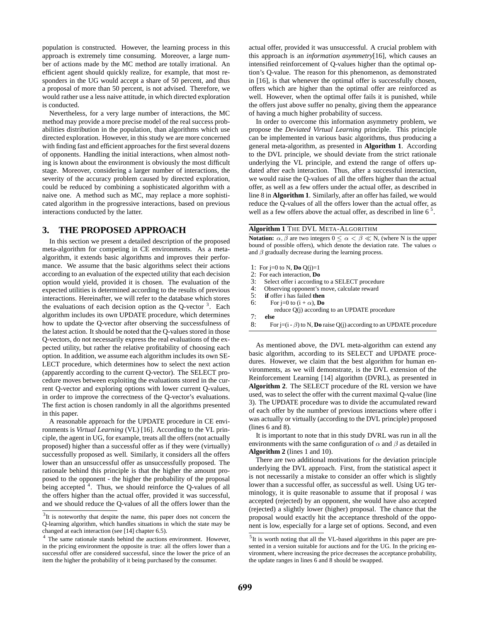population is constructed. However, the learning process in this approach is extremely time consuming. Moreover, a large number of actions made by the MC method are totally irrational. An efficient agent should quickly realize, for example, that most responders in the UG would accept a share of 50 percent, and thus a proposal of more than 50 percent, is not advised. Therefore, we would rather use a less naive attitude, in which directed exploration is conducted.

Nevertheless, for a very large number of interactions, the MC method may provide a more precise model of the real success probabilities distribution in the population, than algorithms which use directed exploration. However, in this study we are more concerned with finding fast and efficient approaches for the first several dozens of opponents. Handling the initial interactions, when almost nothing is known about the environment is obviously the most difficult stage. Moreover, considering a larger number of interactions, the severity of the accuracy problem caused by directed exploration, could be reduced by combining a sophisticated algorithm with a naive one. A method such as MC, may replace a more sophisticated algorithm in the progressive interactions, based on previous interactions conducted by the latter.

### **3. THE PROPOSED APPROACH**

In this section we present a detailed description of the proposed meta-algorithm for competing in CE environments. As a metaalgorithm, it extends basic algorithms and improves their performance. We assume that the basic algorithms select their actions according to an evaluation of the expected utility that each decision option would yield, provided it is chosen. The evaluation of the expected utilities is determined according to the results of previous interactions. Hereinafter, we will refer to the database which stores the evaluations of each decision option as the Q-vector  $3$ . Each algorithm includes its own UPDATE procedure, which determines how to update the Q-vector after observing the successfulness of the latest action. It should be noted that the Q-values stored in those Q-vectors, do not necessarily express the real evaluations of the expected utility, but rather the relative profitability of choosing each option. In addition, we assume each algorithm includes its own SE-LECT procedure, which determines how to select the next action (apparently according to the current Q-vector). The SELECT procedure moves between exploiting the evaluations stored in the current Q-vector and exploring options with lower current Q-values, in order to improve the correctness of the Q-vector's evaluations. The first action is chosen randomly in all the algorithms presented in this paper.

A reasonable approach for the UPDATE procedure in CE environments is *Virtual Learning* (VL) [16]. According to the VL principle, the agent in UG, for example, treats all the offers (not actually proposed) higher than a successful offer as if they were (virtually) successfully proposed as well. Similarly, it considers all the offers lower than an unsuccessful offer as unsuccessfully proposed. The rationale behind this principle is that the higher the amount proposed to the opponent - the higher the probability of the proposal being accepted <sup>4</sup>. Thus, we should reinforce the Q-values of all the offers higher than the actual offer, provided it was successful, and we should reduce the Q-values of all the offers lower than the actual offer, provided it was unsuccessful. A crucial problem with this approach is an *information asymmetry*[16], which causes an intensified reinforcement of Q-values higher than the optimal option's Q-value. The reason for this phenomenon, as demonstrated in [16], is that whenever the optimal offer is successfully chosen, offers which are higher than the optimal offer are reinforced as well. However, when the optimal offer fails it is punished, while the offers just above suffer no penalty, giving them the appearance of having a much higher probability of success.

In order to overcome this information asymmetry problem, we propose the *Deviated Virtual Learning* principle. This principle can be implemented in various basic algorithms, thus producing a general meta-algorithm, as presented in **Algorithm 1**. According to the DVL principle, we should deviate from the strict rationale underlying the VL principle, and extend the range of offers updated after each interaction. Thus, after a successful interaction, we would raise the Q-values of all the offers higher than the actual offer, as well as a few offers under the actual offer, as described in line 8 in **Algorithm 1**. Similarly, after an offer has failed, we would reduce the Q-values of all the offers lower than the actual offer, as well as a few offers above the actual offer, as described in line  $6<sup>5</sup>$ .

#### **Algorithm 1** THE DVL META-ALGORITHM

**Notation:**  $\alpha$ ,  $\beta$  are two integers  $0 \leq \alpha < \beta \ll N$ , (where N is the upper bound of possible offers), which denote the deviation rate. The values  $\alpha$ and  $\beta$  gradually decrease during the learning process.

- 1: For j=0 to N, **Do** Q(j)=1
- 2: For each interaction, **Do**
- 3: Select offer i according to a SELECT procedure<br>4: Observing opponent's move, calculate reward
- 4: Observing opponent's move, calculate reward<br>5: if offer i has failed then
- 5: **if** offer i has failed **then**<br>6: For  $j=0$  to  $(i + \alpha)$ , **Do**
- For j=0 to  $(i + \alpha)$ , **Do**
- reduce Q(j) according to an UPDATE procedure
- 7: **else**
- 8: For j=(i  $\beta$ ) to N, **Do** raise Q(j) according to an UPDATE procedure

As mentioned above, the DVL meta-algorithm can extend any basic algorithm, according to its SELECT and UPDATE procedures. However, we claim that the best algorithm for human environments, as we will demonstrate, is the DVL extension of the Reinforcement Learning [14] algorithm (DVRL), as presented in **Algorithm 2**. The SELECT procedure of the RL version we have used, was to select the offer with the current maximal Q-value (line 3). The UPDATE procedure was to divide the accumulated reward of each offer by the number of previous interactions where offer i was actually or virtually (according to the DVL principle) proposed (lines 6 and 8).

It is important to note that in this study DVRL was run in all the environments with the same configuration of  $\alpha$  and  $\beta$  as detailed in **Algorithm 2** (lines 1 and 10).

There are two additional motivations for the deviation principle underlying the DVL approach. First, from the statistical aspect it is not necessarily a mistake to consider an offer which is slightly lower than a successful offer, as successful as well. Using UG terminology, it is quite reasonable to assume that if proposal *i* was accepted (rejected) by an opponent, she would have also accepted (rejected) a slightly lower (higher) proposal. The chance that the proposal would exactly hit the acceptance threshold of the opponent is low, especially for a large set of options. Second, and even

 $3$ It is noteworthy that despite the name, this paper does not concern the Q-learning algorithm, which handles situations in which the state may be changed at each interaction (see [14] chapter 6.5).

<sup>&</sup>lt;sup>4</sup> The same rationale stands behind the auctions environment. However, in the pricing environment the opposite is true: all the offers lower than a successful offer are considered successful, since the lower the price of an item the higher the probability of it being purchased by the consumer.

<sup>&</sup>lt;sup>5</sup>It is worth noting that all the VL-based algorithms in this paper are presented in a version suitable for auctions and for the UG. In the pricing environment, where increasing the price decreases the acceptance probability, the update ranges in lines 6 and 8 should be swapped.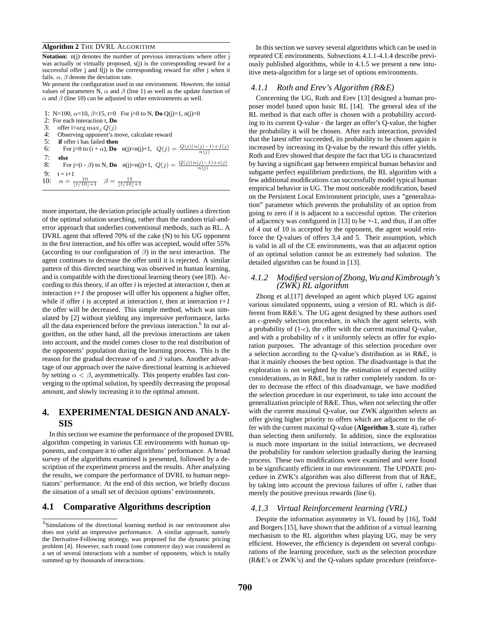#### **Algorithm 2** THE DVRL ALGORITHM

**Notation:** n(j) denotes the number of previous interactions where offer j was actually or virtually proposed, s(j) is the corresponding reward for a successful offer  $\mathbf{j}$  and  $\mathbf{f}(\mathbf{j})$  is the corresponding reward for offer  $\mathbf{j}$  when it fails.  $\alpha$ ,  $\beta$  denote the deviation rate. We present the configuration used in our environment. However, the initial

values of parameters N,  $\alpha$  and  $\beta$  (line 1) as well as the update function of  $\alpha$  and  $\beta$  (line 10) can be adjusted to other environments as well.

1: N=100,  $\alpha$ =10,  $\beta$ =15, t=0 For j=0 to N, **Do** Q(j)=1, n(j)=0

2: For each interaction t, **Do**<br>3: offer i= $\arg \max_i O(i)$ 

3: offer i=arg max<sub>j</sub>  $Q(j)$ <br>4: Observing opponent's n

4: Observing opponent's move, calculate reward<br>5: if offer i has failed then

5: **if** offer i has failed **then** 6: For j=0 to (i +  $\alpha$ ), **Do** n(j)=n(j)+1,  $Q(j) = \frac{Q(j)(n(j)-1)+f(j)}{n(j)}$ 7: **else**

8: For j=(i -  $\beta$ ) to N, **Do** n(j)=n(j)+1,  $Q(j) = \frac{Q(j)(n(j)-1)+s(j)}{n(j)}$ 9:  $t = t + 1$ 10:  $\alpha = \frac{10}{|t/10|+1}$   $\beta = \frac{15}{|t/10|+1}$ 

more important, the deviation principle actually outlines a direction of the optimal solution searching, rather than the random trial-anderror approach that underlies conventional methods, such as RL. A DVRL agent that offered 70% of the cake (N) to his UG opponent in the first interaction, and his offer was accepted, would offer 55% (according to our configuration of  $\beta$ ) in the next interaction. The agent continues to decrease the offer until it is rejected. A similar pattern of this directed searching was observed in human learning, and is compatible with the directional learning theory (see [8]). According to this theory, if an offer *i* is rejected at interaction *t*, then at interaction  $t+1$  the proposer will offer his opponent a higher offer, while if offer  $i$  is accepted at interaction  $t$ , then at interaction  $t+1$ the offer will be decreased. This simple method, which was simulated by [2] without yielding any impressive performance, lacks all the data experienced before the previous interaction.<sup>6</sup> In our algorithm, on the other hand, all the previous interactions are taken into account, and the model comes closer to the real distribution of the opponents' population during the learning process. This is the reason for the gradual decrease of  $\alpha$  and  $\beta$  values. Another advantage of our approach over the naive directional learning is achieved by setting  $\alpha < \beta$ , asymmetrically. This property enables fast converging to the optimal solution, by speedily decreasing the proposal amount, and slowly increasing it to the optimal amount.

### **4. EXPERIMENTAL DESIGN AND ANALY-SIS**

In this section we examine the performance of the proposed DVRL algorithm competing in various CE environments with human opponents, and compare it to other algorithms' performance. A broad survey of the algorithms examined is presented, followed by a description of the experiment process and the results. After analyzing the results, we compare the performance of DVRL to human negotiators' performance. At the end of this section, we briefly discuss the situation of a small set of decision options' environments.

### **4.1 Comparative Algorithms description**

In this section we survey several algorithms which can be used in repeated CE environments. Subsections 4.1.1-4.1.4 describe previously published algorithms, while in 4.1.5 we present a new intuitive meta-algorithm for a large set of options environments.

#### *4.1.1 Roth and Erev's Algorithm (R&E)*

Concerning the UG, Roth and Erev [13] designed a human proposer model based upon basic RL [14]. The general idea of the RL method is that each offer is chosen with a probability according to its current Q-value - the larger an offer's Q-value, the higher the probability it will be chosen. After each interaction, provided that the latest offer succeeded, its probability to be chosen again is increased by increasing its Q-value by the reward this offer yields. Roth and Erev showed that despite the fact that UG is characterized by having a significant gap between empirical human behavior and subgame perfect equilibrium predictions, the RL algorithm with a few additional modifications can successfully model typical human empirical behavior in UG. The most noticeable modification, based on the Persistent Local Environment principle, uses a "generalization" parameter which prevents the probability of an option from going to zero if it is adjacent to a successful option. The criterion of adjacency was configured in [13] to be +-1, and thus, if an offer of 4 out of 10 is accepted by the opponent, the agent would reinforce the Q-values of offers 3,4 and 5. Their assumption, which is valid in all of the CE environments, was that an adjacent option of an optimal solution cannot be an extremely bad solution. The detailed algorithm can be found in [13].

#### *4.1.2 Modified version of Zhong, Wu and Kimbrough's (ZWK) RL algorithm*

Zhong et al.[17] developed an agent which played UG against various simulated opponents, using a version of RL which is different from R&E's. The UG agent designed by these authors used an  $\epsilon$ -greedy selection procedure, in which the agent selects, with a probability of  $(1-\epsilon)$ , the offer with the current maximal O-value, and with a probability of  $\epsilon$  it uniformly selects an offer for exploration purposes. The advantage of this selection procedure over a selection according to the Q-value's distribution as in R&E, is that it mainly chooses the best option. The disadvantage is that the exploration is not weighted by the estimation of expected utility considerations, as in R&E, but is rather completely random. In order to decrease the effect of this disadvantage, we have modified the selection procedure in our experiment, to take into account the generalization principle of R&E. Thus, when not selecting the offer with the current maximal Q-value, our ZWK algorithm selects an offer giving higher priority to offers which are adjacent to the offer with the current maximal Q-value (**Algorithm 3**, state 4), rather than selecting them uniformly. In addition, since the exploration is much more important in the initial interactions, we decreased the probability for random selection gradually during the learning process. These two modifications were examined and were found to be significantly efficient in our environment. The UPDATE procedure in ZWK's algorithm was also different from that of R&E, by taking into account the previous failures of offer *i*, rather than merely the positive previous rewards (line 6).

#### *4.1.3 Virtual Reinforcement learning (VRL)*

Despite the information asymmetry in VL found by [16], Todd and Borgers [15], have shown that the addition of a virtual learning mechanism to the RL algorithm when playing UG, may be very efficient. However, the efficiency is dependent on several configurations of the learning procedure, such as the selection procedure (R&E's or ZWK's) and the Q-values update procedure (reinforce-

<sup>&</sup>lt;sup>6</sup>Simulations of the directional learning method in our environment also does not yield an impressive performance. A similar approach, namely the Derivative-Following strategy, was proposed for the dynamic pricing problem [4]. However, each round (one commerce day) was considered as a set of several interactions with a number of opponents, which is totally summed up by thousands of interactions.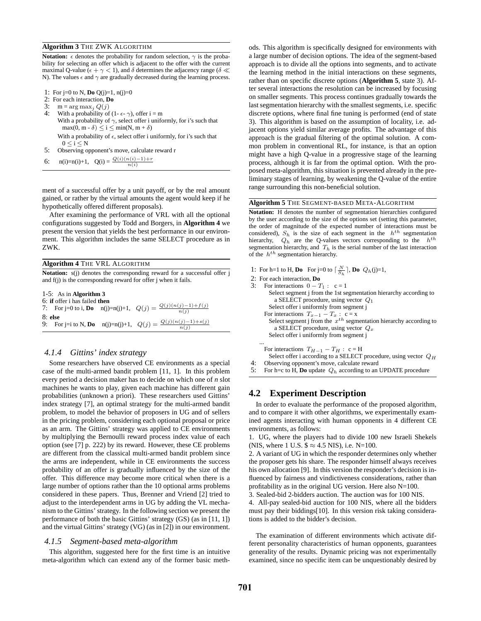#### **Algorithm 3** THE ZWK ALGORITHM

**Notation:**  $\epsilon$  denotes the probability for random selection,  $\gamma$  is the probability for selecting an offer which is adjacent to the offer with the current maximal Q-value ( $\epsilon + \gamma < 1$ ), and  $\delta$  determines the adjacency range ( $\delta \ll$ N). The values  $\epsilon$  and  $\gamma$  are gradually decreased during the learning process.

- 1: For j=0 to N, **Do** Q(j)=1, n(j)=0
- 2: For each interaction, **Do**
- 3:  $m = \arg \max_j Q(j)$ <br>4: With a probability of
- With a probability of (1- $\epsilon$ - $\gamma$ ), offer i = m With a probability of  $\gamma,$  select offer i uniformly, for i's such that  $max(0, m - \delta) \leq i \leq min(N, m + \delta)$ With a probability of  $\epsilon$ , select offer i uniformly, for i's such that  $0 \leq i \leq N$
- 5: Observing opponent's move, calculate reward r
- 6: n(i)=n(i)+1, Q(i) =  $\frac{Q(i)(n(i)-1)+r}{r}$  $n(i)$

ment of a successful offer by a unit payoff, or by the real amount gained, or rather by the virtual amounts the agent would keep if he hypothetically offered different proposals).

After examining the performance of VRL with all the optional configurations suggested by Todd and Borgers, in **Algorithm 4** we present the version that yields the best performance in our environment. This algorithm includes the same SELECT procedure as in ZWK.

#### **Algorithm 4** THE VRL ALGORITHM

**Notation:** s(j) denotes the corresponding reward for a successful offer j and f(j) is the corresponding reward for offer j when it fails.

1-5: As in **Algorithm 3**

6: **if** offer i has failed **then**<br>7: For j=0 to i, **Do** n(j)=n(j)+1,  $Q(j) = \frac{Q(j)(n(j)-1)+f(j)}{n(j)}$ 8: **else** 9: For j=i to N, **Do** n(j)=n(j)+1,  $Q(j) = \frac{Q(j)(n(j)-1)+s(j)}{n(j)}$ 

#### *4.1.4 Gittins' index strategy*

Some researchers have observed CE environments as a special case of the multi-armed bandit problem [11, 1]. In this problem every period a decision maker has to decide on which one of *n* slot machines he wants to play, given each machine has different gain probabilities (unknown a priori). These researchers used Gittins' index strategy [7], an optimal strategy for the multi-armed bandit problem, to model the behavior of proposers in UG and of sellers in the pricing problem, considering each optional proposal or price as an arm. The Gittins' strategy was applied to CE environments by multiplying the Bernoulli reward process index value of each option (see [7] p. 222) by its reward. However, these CE problems are different from the classical multi-armed bandit problem since the arms are independent, while in CE environments the success probability of an offer is gradually influenced by the size of the offer. This difference may become more critical when there is a large number of options rather than the 10 optional arms problems considered in these papers. Thus, Brenner and Vriend [2] tried to adjust to the interdependent arms in UG by adding the VL mechanism to the Gittins' strategy. In the following section we present the performance of both the basic Gittins' strategy (GS) (as in [11, 1]) and the virtual Gittins' strategy (VG) (as in [2]) in our environment.

#### *4.1.5 Segment-based meta-algorithm*

This algorithm, suggested here for the first time is an intuitive meta-algorithm which can extend any of the former basic methods. This algorithm is specifically designed for environments with a large number of decision options. The idea of the segment-based approach is to divide all the options into segments, and to activate the learning method in the initial interactions on these segments, rather than on specific discrete options (**Algorithm 5**, state 3). After several interactions the resolution can be increased by focusing on smaller segments. This process continues gradually towards the last segmentation hierarchy with the smallest segments, i.e. specific discrete options, where final fine tuning is performed (end of state 3). This algorithm is based on the assumption of locality, i.e. adjacent options yield similar average profits. The advantage of this approach is the gradual filtering of the optimal solution. A common problem in conventional RL, for instance, is that an option might have a high Q-value in a progressive stage of the learning process, although it is far from the optimal option. With the proposed meta-algorithm, this situation is prevented already in the preliminary stages of learning, by weakening the Q-value of the entire range surrounding this non-beneficial solution.

#### **Algorithm 5** THE SEGMENT-BASED META-ALGORITHM

**Notation:** H denotes the number of segmentation hierarchies configured by the user according to the size of the options set (setting this parameter, the order of magnitude of the expected number of interactions must be considered),  $S_h$  is the size of each segment in the  $h^{th}$  segmentation hierarchy,  $Q_h$  are the Q-values vectors corresponding to the  $h^{th}$ segmentation hierarchy, and  $T<sub>h</sub>$  is the serial number of the last interaction of the  $h^{th}$  segmentation hierarchy.

1: For h=1 to H, **Do** For j=0 to  $\lceil \frac{N}{S_h} \rceil$ , **Do**  $Q_h(j)=1$ ,

```
2: For each interaction, Do
```
3: For interactions  $0 - T_1$ : c = 1 Select segment j from the 1st segmentation hierarchy according to a SELECT procedure, using vector  $Q_1$ Select offer i uniformly from segment j For interactions  $T_{x-1} - T_x$ : c = x Select segment j from the  $x^{th}$  segmentation hierarchy according to a SELECT procedure, using vector  $Q_x$ Select offer i uniformly from segment j

... For interactions  $T_{H-1} - T_H$ : c = H

- Select offer i according to a SELECT procedure, using vector  $Q_H$
- 4: Observing opponent's move, calculate reward
- For h=c to H, **Do** update  $Q_h$  according to an UPDATE procedure

### **4.2 Experiment Description**

In order to evaluate the performance of the proposed algorithm, and to compare it with other algorithms, we experimentally examined agents interacting with human opponents in 4 different CE environments, as follows:

1. UG, where the players had to divide 100 new Israeli Shekels (NIS, where 1 U.S.  $\frac{6}{5} \approx 4.5$  NIS), i.e. N=100.

2. A variant of UG in which the responder determines only whether the proposer gets his share. The responder himself always receives his own allocation [9]. In this version the responder's decision is influenced by fairness and vindictiveness considerations, rather than profitability as in the original UG version. Here also N=100.

3. Sealed-bid 2-bidders auction. The auction was for 100 NIS.

4. All-pay sealed-bid auction for 100 NIS, where all the bidders must pay their biddings[10]. In this version risk taking considerations is added to the bidder's decision.

The examination of different environments which activate different personality characteristics of human opponents, guarantees generality of the results. Dynamic pricing was not experimentally examined, since no specific item can be unquestionably desired by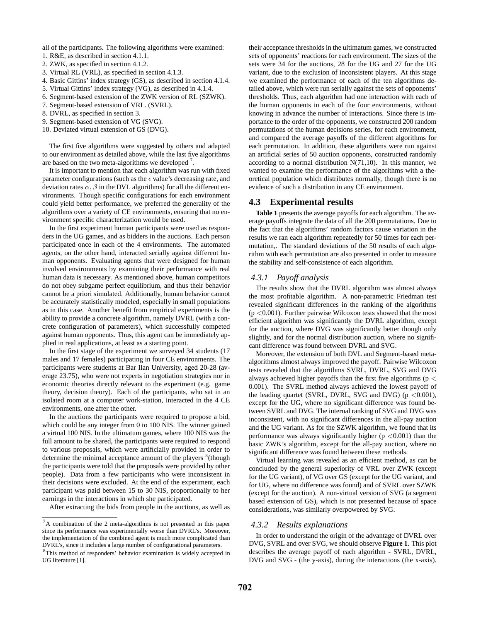all of the participants. The following algorithms were examined:

- 1. R&E, as described in section 4.1.1.
- 2. ZWK, as specified in section 4.1.2.
- 3. Virtual RL (VRL), as specified in section 4.1.3.
- 4. Basic Gittins' index strategy (GS), as described in section 4.1.4.
- 5. Virtual Gittins' index strategy (VG), as described in 4.1.4.
- 6. Segment-based extension of the ZWK version of RL (SZWK).
- 7. Segment-based extension of VRL. (SVRL).
- 8. DVRL, as specified in section 3.
- 9. Segment-based extension of VG (SVG).
- 10. Deviated virtual extension of GS (DVG).

The first five algorithms were suggested by others and adapted to our environment as detailed above, while the last five algorithms are based on the two meta-algorithms we developed  $<sup>7</sup>$ .</sup>

It is important to mention that each algorithm was run with fixed parameter configurations (such as the  $\epsilon$  value's decreasing rate, and deviation rates  $\alpha$ ,  $\beta$  in the DVL algorithms) for all the different environments. Though specific configurations for each environment could yield better performance, we preferred the generality of the algorithms over a variety of CE environments, ensuring that no environment specific characterization would be used.

In the first experiment human participants were used as responders in the UG games, and as bidders in the auctions. Each person participated once in each of the 4 environments. The automated agents, on the other hand, interacted serially against different human opponents. Evaluating agents that were designed for human involved environments by examining their performance with real human data is necessary. As mentioned above, human competitors do not obey subgame perfect equilibrium, and thus their behavior cannot be a priori simulated. Additionally, human behavior cannot be accurately statistically modeled, especially in small populations as in this case. Another benefit from empirical experiments is the ability to provide a concrete algorithm, namely DVRL (with a concrete configuration of parameters), which successfully competed against human opponents. Thus, this agent can be immediately applied in real applications, at least as a starting point.

In the first stage of the experiment we surveyed 34 students (17 males and 17 females) participating in four CE environments. The participants were students at Bar Ilan University, aged 20-28 (average 23.75), who were not experts in negotiation strategies nor in economic theories directly relevant to the experiment (e.g. game theory, decision theory). Each of the participants, who sat in an isolated room at a computer work-station, interacted in the 4 CE environments, one after the other.

In the auctions the participants were required to propose a bid, which could be any integer from 0 to 100 NIS. The winner gained a virtual 100 NIS. In the ultimatum games, where 100 NIS was the full amount to be shared, the participants were required to respond to various proposals, which were artificially provided in order to determine the minimal acceptance amount of the players <sup>8</sup>(though the participants were told that the proposals were provided by other people). Data from a few participants who were inconsistent in their decisions were excluded. At the end of the experiment, each participant was paid between 15 to 30 NIS, proportionally to her earnings in the interactions in which she participated.

After extracting the bids from people in the auctions, as well as

their acceptance thresholds in the ultimatum games, we constructed sets of opponents' reactions for each environment. The sizes of the sets were 34 for the auctions, 28 for the UG and 27 for the UG variant, due to the exclusion of inconsistent players. At this stage we examined the performance of each of the ten algorithms detailed above, which were run serially against the sets of opponents' thresholds. Thus, each algorithm had one interaction with each of the human opponents in each of the four environments, without knowing in advance the number of interactions. Since there is importance to the order of the opponents, we constructed 200 random permutations of the human decisions series, for each environment, and compared the average payoffs of the different algorithms for each permutation. In addition, these algorithms were run against an artificial series of 50 auction opponents, constructed randomly according to a normal distribution  $N(71,10)$ . In this manner, we wanted to examine the performance of the algorithms with a theoretical population which distributes normally, though there is no evidence of such a distribution in any CE environment.

#### **4.3 Experimental results**

**Table 1** presents the average payoffs for each algorithm. The average payoffs integrate the data of all the 200 permutations. Due to the fact that the algorithms' random factors cause variation in the results we ran each algorithm repeatedly for 50 times for each permutation,. The standard deviations of the 50 results of each algorithm with each permutation are also presented in order to measure the stability and self-consistence of each algorithm.

#### *4.3.1 Payoff analysis*

The results show that the DVRL algorithm was almost always the most profitable algorithm. A non-parametric Friedman test revealed significant differences in the ranking of the algorithms  $(p < 0.001)$ . Further pairwise Wilcoxon tests showed that the most efficient algorithm was significantly the DVRL algorithm, except for the auction, where DVG was significantly better though only slightly, and for the normal distribution auction, where no significant difference was found between DVRL and SVG.

Moreover, the extension of both DVL and Segment-based metaalgorithms almost always improved the payoff. Pairwise Wilcoxon tests revealed that the algorithms SVRL, DVRL, SVG and DVG always achieved higher payoffs than the first five algorithms ( $p <$ 0.001). The SVRL method always achieved the lowest payoff of the leading quartet (SVRL, DVRL, SVG and DVG) ( $p < 0.001$ ), except for the UG, where no significant difference was found between SVRL and DVG. The internal ranking of SVG and DVG was inconsistent, with no significant differences in the all-pay auction and the UG variant. As for the SZWK algorithm, we found that its performance was always significantly higher ( $p < 0.001$ ) than the basic ZWK's algorithm, except for the all-pay auction, where no significant difference was found between these methods.

Virtual learning was revealed as an efficient method, as can be concluded by the general superiority of VRL over ZWK (except for the UG variant), of VG over GS (except for the UG variant, and for UG, where no difference was found) and of SVRL over SZWK (except for the auction). A non-virtual version of SVG (a segment based extension of GS), which is not presented because of space considerations, was similarly overpowered by SVG.

#### *4.3.2 Results explanations*

In order to understand the origin of the advantage of DVRL over DVG, SVRL and over SVG, we should observe **Figure 1**. This plot describes the average payoff of each algorithm - SVRL, DVRL, DVG and SVG - (the y-axis), during the interactions (the x-axis).

<sup>7</sup>A combination of the 2 meta-algorithms is not presented in this paper since its performance was experimentally worse than DVRL's. Moreover, the implementation of the combined agent is much more complicated than DVRL's, since it includes a large number of configurational parameters.

<sup>&</sup>lt;sup>8</sup>This method of responders' behavior examination is widely accepted in UG literature [1].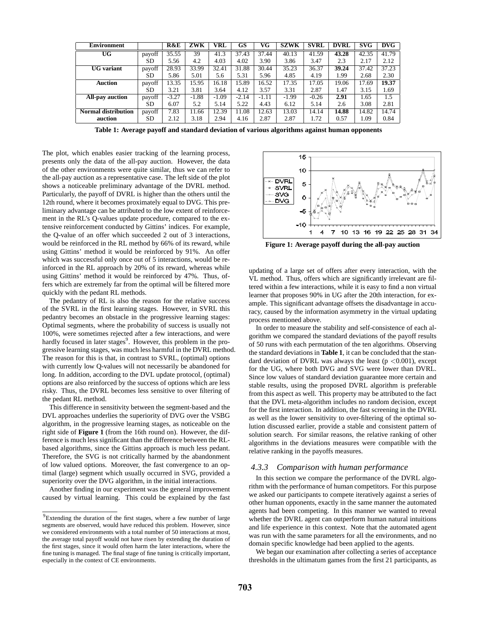| <b>Environment</b>                |        | R&E     | ZWK     | VRL     | GS      | VG      | <b>SZWK</b> | <b>SVRL</b> | <b>DVRL</b> | SVG   | $\overline{\text{DVG}}$ |
|-----------------------------------|--------|---------|---------|---------|---------|---------|-------------|-------------|-------------|-------|-------------------------|
| $\overline{\mathbf{U}\mathbf{G}}$ | payoff | 35.55   | 39      | 41.3    | 37.43   | 37.44   | 40.13       | 41.59       | 43.28       | 42.35 | 41.79                   |
|                                   | SD     | 5.56    | 4.2     | 4.03    | 4.02    | 3.90    | 3.86        | 3.47        | 2.3         | 2.17  | 2.12                    |
| <b>UG</b> variant                 | payoff | 28.93   | 33.99   | 32.41   | 31.88   | 30.44   | 35.23       | 36.37       | 39.24       | 37.42 | 37.23                   |
|                                   | SD     | 5.86    | 5.01    | 5.6     | 5.31    | 5.96    | 4.85        | 4.19        | 1.99        | 2.68  | 2.30                    |
| <b>Auction</b>                    | payoff | 13.35   | 15.95   | 16.18   | 15.89   | 16.52   | 17.35       | 17.05       | 19.06       | 17.69 | 19.37                   |
|                                   | SD     | 3.21    | 3.81    | 3.64    | 4.12    | 3.57    | 3.31        | 2.87        | 1.47        | 3.15  | 1.69                    |
| <b>All-pay auction</b>            | payoff | $-3.27$ | $-1.88$ | $-1.09$ | $-2.14$ | $-1.11$ | $-1.99$     | $-0.26$     | 2.91        | 1.65  | 1.5                     |
|                                   | SD     | 6.07    | 5.2     | 5.14    | 5.22    | 4.43    | 6.12        | 5.14        | 2.6         | 3.08  | 2.81                    |
| <b>Normal distribution</b>        | payoff | 7.83    | 11.66   | 12.39   | 11.08   | 12.63   | 13.03       | 14.14       | 14.88       | 14.82 | 14.74                   |
| auction                           | SD     | 2.12    | 3.18    | 2.94    | 4.16    | 2.87    | 2.87        | 1.72        | 0.57        | 1.09  | 0.84                    |

**Table 1: Average payoff and standard deviation of various algorithms against human opponents**

The plot, which enables easier tracking of the learning process, presents only the data of the all-pay auction. However, the data of the other environments were quite similar, thus we can refer to the all-pay auction as a representative case. The left side of the plot shows a noticeable preliminary advantage of the DVRL method. Particularly, the payoff of DVRL is higher than the others until the 12th round, where it becomes proximately equal to DVG. This preliminary advantage can be attributed to the low extent of reinforcement in the RL's Q-values update procedure, compared to the extensive reinforcement conducted by Gittins' indices. For example, the Q-value of an offer which succeeded 2 out of 3 interactions, would be reinforced in the RL method by 66% of its reward, while using Gittins' method it would be reinforced by 91%. An offer which was successful only once out of 5 interactions, would be reinforced in the RL approach by 20% of its reward, whereas while using Gittins' method it would be reinforced by 47%. Thus, offers which are extremely far from the optimal will be filtered more quickly with the pedant RL methods.

The pedantry of RL is also the reason for the relative success of the SVRL in the first learning stages. However, in SVRL this pedantry becomes an obstacle in the progressive learning stages: Optimal segments, where the probability of success is usually not 100%, were sometimes rejected after a few interactions, and were hardly focused in later stages<sup>9</sup>. However, this problem in the progressive learning stages, was much less harmful in the DVRL method. The reason for this is that, in contrast to SVRL, (optimal) options with currently low Q-values will not necessarily be abandoned for long. In addition, according to the DVL update protocol, (optimal) options are also reinforced by the success of options which are less risky. Thus, the DVRL becomes less sensitive to over filtering of the pedant RL method.

This difference in sensitivity between the segment-based and the DVL approaches underlies the superiority of DVG over the VSBG algorithm, in the progressive learning stages, as noticeable on the right side of **Figure 1** (from the 16th round on). However, the difference is much less significant than the difference between the RLbased algorithms, since the Gittins approach is much less pedant. Therefore, the SVG is not critically harmed by the abandonment of low valued options. Moreover, the fast convergence to an optimal (large) segment which usually occurred in SVG, provided a superiority over the DVG algorithm, in the initial interactions.

Another finding in our experiment was the general improvement caused by virtual learning. This could be explained by the fast



**Figure 1: Average payoff during the all-pay auction**

updating of a large set of offers after every interaction, with the VL method. Thus, offers which are significantly irrelevant are filtered within a few interactions, while it is easy to find a non virtual learner that proposes 90% in UG after the 20th interaction, for example. This significant advantage offsets the disadvantage in accuracy, caused by the information asymmetry in the virtual updating process mentioned above.

In order to measure the stability and self-consistence of each algorithm we compared the standard deviations of the payoff results of 50 runs with each permutation of the ten algorithms. Observing the standard deviations in **Table 1**, it can be concluded that the standard deviation of DVRL was always the least ( $p < 0.001$ ), except for the UG, where both DVG and SVG were lower than DVRL. Since low values of standard deviation guarantee more certain and stable results, using the proposed DVRL algorithm is preferable from this aspect as well. This property may be attributed to the fact that the DVL meta-algorithm includes no random decision, except for the first interaction. In addition, the fast screening in the DVRL as well as the lower sensitivity to over-filtering of the optimal solution discussed earlier, provide a stable and consistent pattern of solution search. For similar reasons, the relative ranking of other algorithms in the deviations measures were compatible with the relative ranking in the payoffs measures.

#### *4.3.3 Comparison with human performance*

In this section we compare the performance of the DVRL algorithm with the performance of human competitors. For this purpose we asked our participants to compete iteratively against a series of other human opponents, exactly in the same manner the automated agents had been competing. In this manner we wanted to reveal whether the DVRL agent can outperform human natural intuitions and life experience in this context. Note that the automated agent was run with the same parameters for all the environments, and no domain specific knowledge had been applied to the agents.

We began our examination after collecting a series of acceptance thresholds in the ultimatum games from the first 21 participants, as

<sup>&</sup>lt;sup>9</sup>Extending the duration of the first stages, where a few number of large segments are observed, would have reduced this problem. However, since we considered environments with a total number of 50 interactions at most, the average total payoff would not have risen by extending the duration of the first stages, since it would often harm the later interactions, where the fine tuning is managed. The final stage of fine tuning is critically important, especially in the context of CE environments.